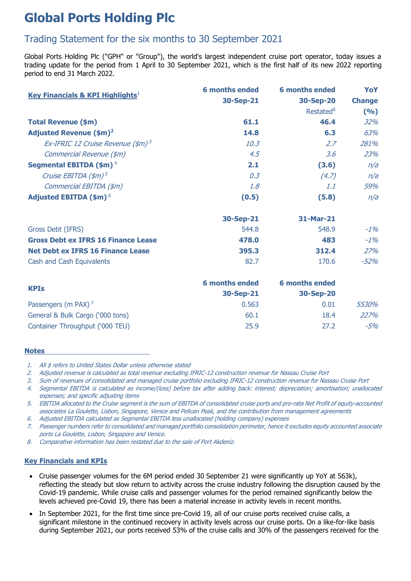# **Global Ports Holding Plc**

# Trading Statement for the six months to 30 September 2021

Global Ports Holding Plc ("GPH" or "Group"), the world's largest independent cruise port operator, today issues a trading update for the period from 1 April to 30 September 2021, which is the first half of its new 2022 reporting period to end 31 March 2022.

| <b>Key Financials &amp; KPI Highlights</b> <sup>1</sup> | <b>6 months ended</b> | <b>6 months ended</b> | YoY           |
|---------------------------------------------------------|-----------------------|-----------------------|---------------|
|                                                         | 30-Sep-21             | 30-Sep-20             | <b>Change</b> |
|                                                         |                       | Restated <sup>8</sup> | (9/6)         |
| <b>Total Revenue (\$m)</b>                              | 61.1                  | 46.4                  | 32%           |
| <b>Adjusted Revenue (\$m)<sup>2</sup></b>               | 14.8                  | 6.3                   | 63%           |
| Ex-IFRIC 12 Cruise Revenue (\$m) <sup>3</sup>           | 10.3                  | 2.7                   | 281%          |
| Commercial Revenue (\$m)                                | 4.5                   | 3.6                   | 23%           |
| Segmental EBITDA (\$m) <sup>4</sup>                     | 2.1                   | (3.6)                 | n/a           |
| Cruise EBITDA $(\frac{4}{5})^5$                         | 0.3                   | (4.7)                 | n/a           |
| Commercial EBITDA (\$m)                                 | 1.8                   | 1.1                   | 59%           |
| <b>Adjusted EBITDA (\$m)<sup>6</sup></b>                | (0.5)                 | (5.8)                 | n/a           |
|                                                         | 30-Sep-21             | 31-Mar-21             |               |
| Gross Debt (IFRS)                                       | 544.8                 | 548.9                 | $-1%$         |
| <b>Gross Debt ex IFRS 16 Finance Lease</b>              | 478.0                 | 483                   | $-1%$         |
| <b>Net Debt ex IFRS 16 Finance Lease</b>                | 395.3                 | 312.4                 | 27%           |
| Cash and Cash Equivalents                               | 82.7                  | 170.6                 | $-52%$        |
|                                                         |                       |                       |               |

| <b>KPIs</b>                      | <b>6 months ended</b> | <b>6 months ended</b> |       |
|----------------------------------|-----------------------|-----------------------|-------|
|                                  | 30-Sep-21             | 30-Sep-20             |       |
| Passengers (m PAX) <sup>7</sup>  | 0.563                 | 0.01                  | 5530% |
| General & Bulk Cargo ('000 tons) | 60.1                  | 18.4                  | 227%  |
| Container Throughput ('000 TEU)  | 25.9                  | 27.2                  | -5%   |

#### **Notes**

2. Adjusted revenue is calculated as total revenue excluding IFRIC-12 construction revenue for Nassau Cruise Port

3. Sum of revenues of consolidated and managed cruise portfolio excluding IFRIC-12 construction revenue for Nassau Cruise Port

4. Segmental EBITDA is calculated as income/(loss) before tax after adding back: interest; depreciation; amortisation; unallocated expenses; and specific adjusting items

5. EBITDA allocated to the Cruise segment is the sum of EBITDA of consolidated cruise ports and pro-rata Net Profit of equity-accounted associates La Goulette, Lisbon, Singapore, Venice and Pelican Peak, and the contribution from management agreements

6. Adjusted EBITDA calculated as Segmental EBITDA less unallocated (holding company) expenses

7. Passenger numbers refer to consolidated and managed portfolio consolidation perimeter, hence it excludes equity accounted associate ports La Goulette, Lisbon, Singapore and Venice.

8. Comparative information has been restated due to the sale of Port Akdeniz.

#### **Key Financials and KPIs**

- Cruise passenger volumes for the 6M period ended 30 September 21 were significantly up YoY at 563k), reflecting the steady but slow return to activity across the cruise industry following the disruption caused by the Covid-19 pandemic. While cruise calls and passenger volumes for the period remained significantly below the levels achieved pre-Covid 19, there has been a material increase in activity levels in recent months.
- In September 2021, for the first time since pre-Covid 19, all of our cruise ports received cruise calls, a significant milestone in the continued recovery in activity levels across our cruise ports. On a like-for-like basis during September 2021, our ports received 53% of the cruise calls and 30% of the passengers received for the

<sup>1.</sup> All \$ refers to United States Dollar unless otherwise stated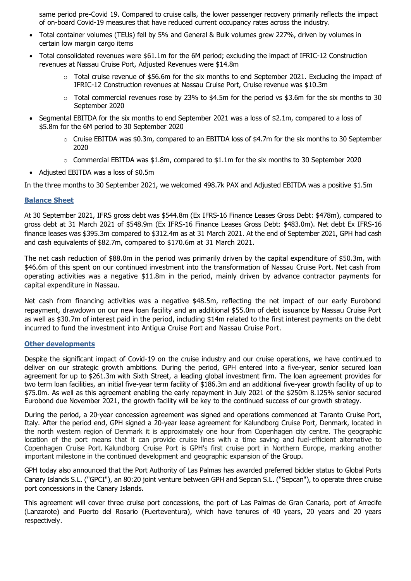same period pre-Covid 19. Compared to cruise calls, the lower passenger recovery primarily reflects the impact of on-board Covid-19 measures that have reduced current occupancy rates across the industry.

- Total container volumes (TEUs) fell by 5% and General & Bulk volumes grew 227%, driven by volumes in certain low margin cargo items
- Total consolidated revenues were \$61.1m for the 6M period; excluding the impact of IFRIC-12 Construction revenues at Nassau Cruise Port, Adjusted Revenues were \$14.8m
	- $\circ$  Total cruise revenue of \$56.6m for the six months to end September 2021. Excluding the impact of IFRIC-12 Construction revenues at Nassau Cruise Port, Cruise revenue was \$10.3m
	- $\circ$  Total commercial revenues rose by 23% to \$4.5m for the period vs \$3.6m for the six months to 30 September 2020
- Segmental EBITDA for the six months to end September 2021 was a loss of \$2.1m, compared to a loss of \$5.8m for the 6M period to 30 September 2020
	- $\circ$  Cruise EBITDA was \$0.3m, compared to an EBITDA loss of \$4.7m for the six months to 30 September 2020
	- $\circ$  Commercial EBITDA was \$1.8m, compared to \$1.1m for the six months to 30 September 2020
- Adjusted EBITDA was a loss of \$0.5m

In the three months to 30 September 2021, we welcomed 498.7k PAX and Adjusted EBITDA was a positive \$1.5m

#### **Balance Sheet**

At 30 September 2021, IFRS gross debt was \$544.8m (Ex IFRS-16 Finance Leases Gross Debt: \$478m), compared to gross debt at 31 March 2021 of \$548.9m (Ex IFRS-16 Finance Leases Gross Debt: \$483.0m). Net debt Ex IFRS-16 finance leases was \$395.3m compared to \$312.4m as at 31 March 2021. At the end of September 2021, GPH had cash and cash equivalents of \$82.7m, compared to \$170.6m at 31 March 2021.

The net cash reduction of \$88.0m in the period was primarily driven by the capital expenditure of \$50.3m, with \$46.6m of this spent on our continued investment into the transformation of Nassau Cruise Port. Net cash from operating activities was a negative \$11.8m in the period, mainly driven by advance contractor payments for capital expenditure in Nassau.

Net cash from financing activities was a negative \$48.5m, reflecting the net impact of our early Eurobond repayment, drawdown on our new loan facility and an additional \$55.0m of debt issuance by Nassau Cruise Port as well as \$30.7m of interest paid in the period, including \$14m related to the first interest payments on the debt incurred to fund the investment into Antigua Cruise Port and Nassau Cruise Port.

#### **Other developments**

Despite the significant impact of Covid-19 on the cruise industry and our cruise operations, we have continued to deliver on our strategic growth ambitions. During the period, GPH entered into a five-year, senior secured loan agreement for up to \$261.3m with Sixth Street, a leading global investment firm. The loan agreement provides for two term loan facilities, an initial five-year term facility of \$186.3m and an additional five-year growth facility of up to \$75.0m. As well as this agreement enabling the early repayment in July 2021 of the \$250m 8.125% senior secured Eurobond due November 2021, the growth facility will be key to the continued success of our growth strategy.

During the period, a 20-year concession agreement was signed and operations commenced at Taranto Cruise Port, Italy. After the period end, GPH signed a 20-year lease agreement for Kalundborg Cruise Port, Denmark, located in the north western region of Denmark it is approximately one hour from Copenhagen city centre. The geographic location of the port means that it can provide cruise lines with a time saving and fuel-efficient alternative to Copenhagen Cruise Port. Kalundborg Cruise Port is GPH's first cruise port in Northern Europe, marking another important milestone in the continued development and geographic expansion of the Group.

GPH today also announced that the Port Authority of Las Palmas has awarded preferred bidder status to Global Ports Canary Islands S.L. ("GPCI"), an 80:20 joint venture between GPH and Sepcan S.L. ("Sepcan"), to operate three cruise port concessions in the Canary Islands.

This agreement will cover three cruise port concessions, the port of Las Palmas de Gran Canaria, port of Arrecife (Lanzarote) and Puerto del Rosario (Fuerteventura), which have tenures of 40 years, 20 years and 20 years respectively.